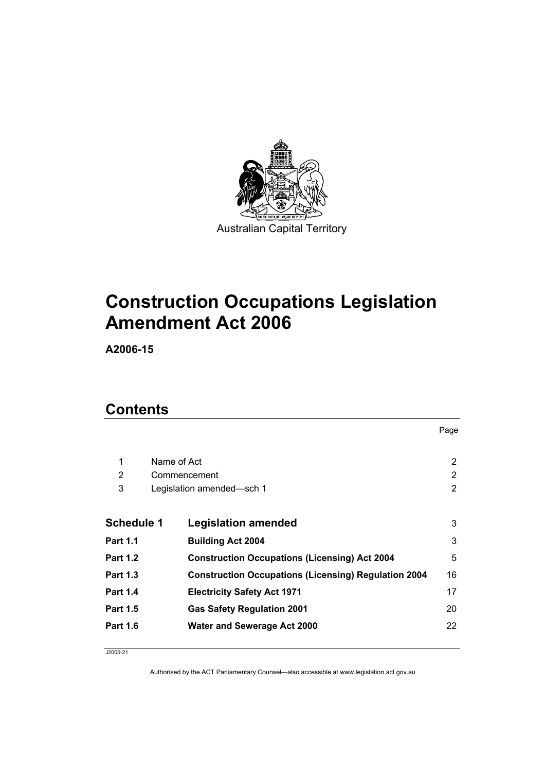

# **Construction Occupations Legislation Amendment Act 2006**

**A2006-15** 

### **Contents**

|                   |             |                                                             | Page |
|-------------------|-------------|-------------------------------------------------------------|------|
|                   |             |                                                             |      |
| 1                 | Name of Act |                                                             | 2    |
| 2                 |             | Commencement                                                | 2    |
| 3                 |             | Legislation amended-sch 1                                   | 2    |
|                   |             |                                                             |      |
| <b>Schedule 1</b> |             | <b>Legislation amended</b>                                  | 3    |
| <b>Part 1.1</b>   |             | <b>Building Act 2004</b>                                    | 3    |
| <b>Part 1.2</b>   |             | <b>Construction Occupations (Licensing) Act 2004</b>        | 5    |
| <b>Part 1.3</b>   |             | <b>Construction Occupations (Licensing) Regulation 2004</b> | 16   |
| <b>Part 1.4</b>   |             | <b>Electricity Safety Act 1971</b>                          | 17   |
| <b>Part 1.5</b>   |             | <b>Gas Safety Regulation 2001</b>                           | 20   |
| <b>Part 1.6</b>   |             | <b>Water and Sewerage Act 2000</b>                          | 22   |

J2005-21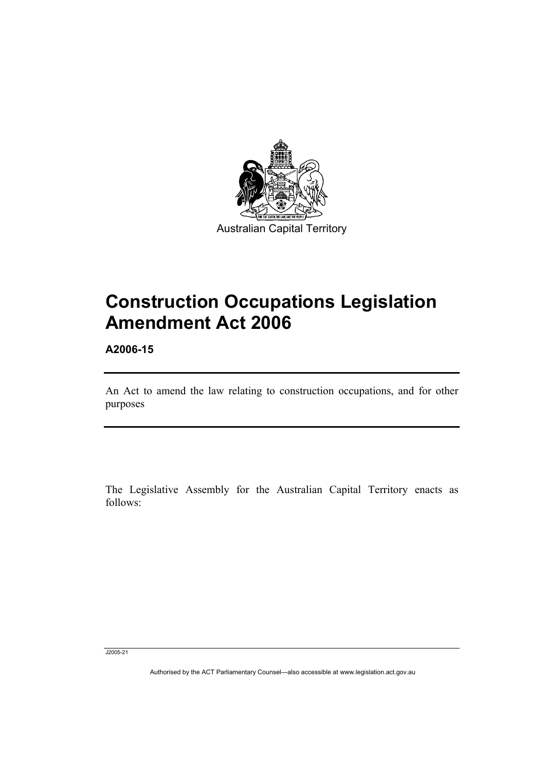

# **Construction Occupations Legislation Amendment Act 2006**

**A2006-15** 

An Act to amend the law relating to construction occupations, and for other purposes

The Legislative Assembly for the Australian Capital Territory enacts as follows:

J2005-21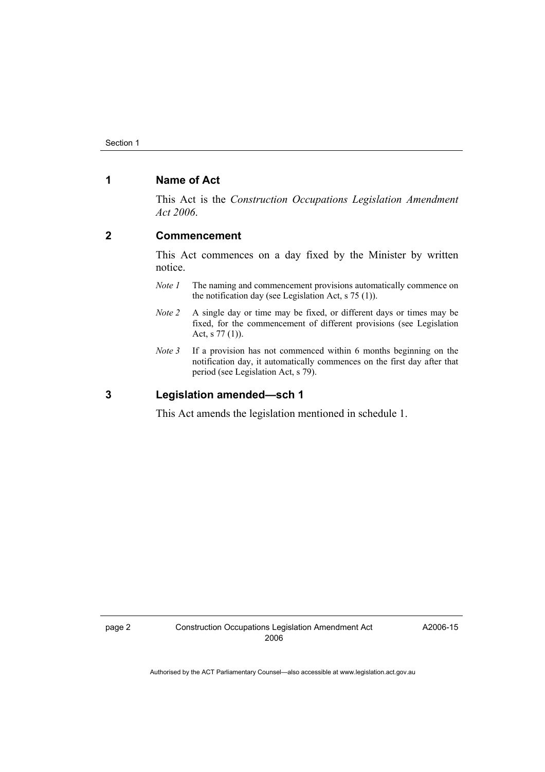#### **1 Name of Act**

This Act is the *Construction Occupations Legislation Amendment Act 2006*.

#### **2 Commencement**

This Act commences on a day fixed by the Minister by written notice.

- *Note 1* The naming and commencement provisions automatically commence on the notification day (see Legislation Act, s 75 (1)).
- *Note 2* A single day or time may be fixed, or different days or times may be fixed, for the commencement of different provisions (see Legislation Act, s 77 (1)).
- *Note 3* If a provision has not commenced within 6 months beginning on the notification day, it automatically commences on the first day after that period (see Legislation Act, s 79).

#### **3 Legislation amended—sch 1**

This Act amends the legislation mentioned in schedule 1.

A2006-15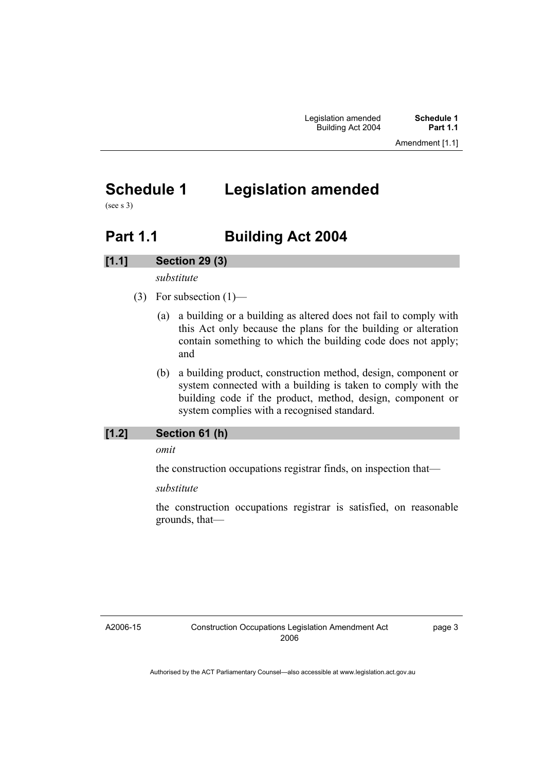## **Schedule 1 Legislation amended**

(see s 3)

### **Part 1.1 Building Act 2004**

#### **[1.1] Section 29 (3)**

*substitute* 

- (3) For subsection  $(1)$ 
	- (a) a building or a building as altered does not fail to comply with this Act only because the plans for the building or alteration contain something to which the building code does not apply; and
	- (b) a building product, construction method, design, component or system connected with a building is taken to comply with the building code if the product, method, design, component or system complies with a recognised standard.

#### **[1.2] Section 61 (h)**

*omit* 

the construction occupations registrar finds, on inspection that—

*substitute* 

the construction occupations registrar is satisfied, on reasonable grounds, that—

A2006-15

page 3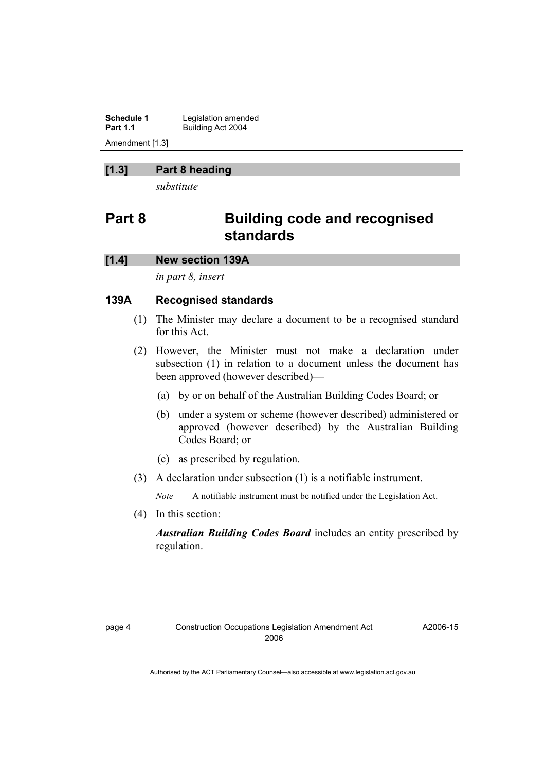**Schedule 1 Legislation amended**<br>**Part 1.1 Building Act 2004 Part 1.1** Building Act 2004 Amendment [1.3]

#### **[1.3] Part 8 heading**

*substitute* 

### **Part 8 Building code and recognised standards**

#### **[1.4] New section 139A**

*in part 8, insert* 

#### **139A Recognised standards**

- (1) The Minister may declare a document to be a recognised standard for this Act.
- (2) However, the Minister must not make a declaration under subsection (1) in relation to a document unless the document has been approved (however described)—
	- (a) by or on behalf of the Australian Building Codes Board; or
	- (b) under a system or scheme (however described) administered or approved (however described) by the Australian Building Codes Board; or
	- (c) as prescribed by regulation.
- (3) A declaration under subsection (1) is a notifiable instrument.

*Note* A notifiable instrument must be notified under the Legislation Act.

(4) In this section:

*Australian Building Codes Board* includes an entity prescribed by regulation.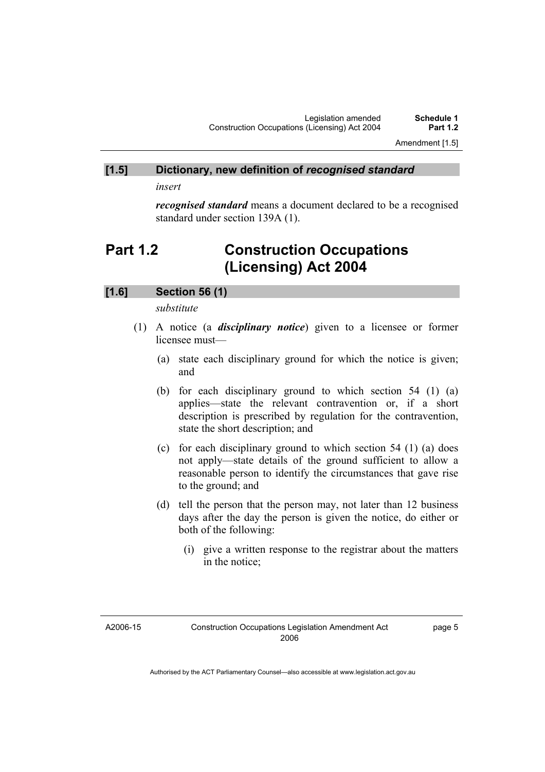Amendment [1.5]

#### **[1.5] Dictionary, new definition of** *recognised standard*

*insert* 

*recognised standard* means a document declared to be a recognised standard under section 139A (1).

### **Part 1.2 Construction Occupations (Licensing) Act 2004**

#### **[1.6] Section 56 (1)**

*substitute* 

- (1) A notice (a *disciplinary notice*) given to a licensee or former licensee must—
	- (a) state each disciplinary ground for which the notice is given; and
	- (b) for each disciplinary ground to which section 54 (1) (a) applies—state the relevant contravention or, if a short description is prescribed by regulation for the contravention, state the short description; and
	- (c) for each disciplinary ground to which section 54 (1) (a) does not apply—state details of the ground sufficient to allow a reasonable person to identify the circumstances that gave rise to the ground; and
	- (d) tell the person that the person may, not later than 12 business days after the day the person is given the notice, do either or both of the following:
		- (i) give a written response to the registrar about the matters in the notice;

A2006-15

page 5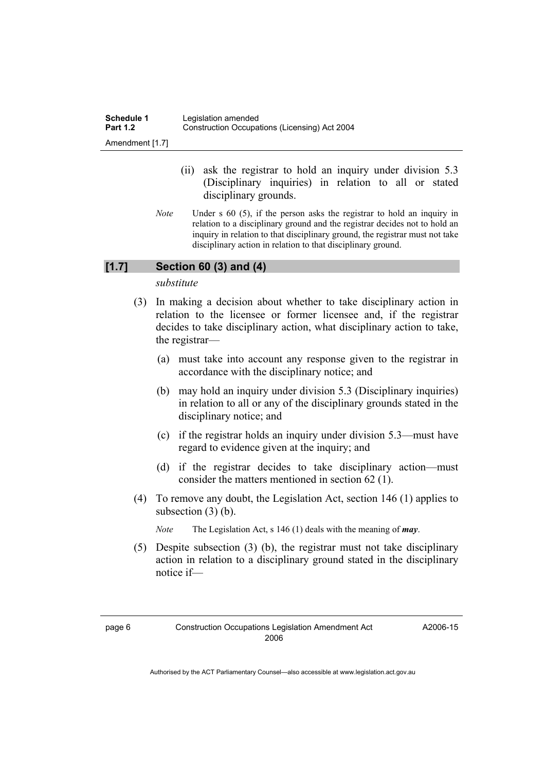| Schedule 1      | Legislation amended                           |
|-----------------|-----------------------------------------------|
| <b>Part 1.2</b> | Construction Occupations (Licensing) Act 2004 |
| Amendment [1.7] |                                               |

- (ii) ask the registrar to hold an inquiry under division 5.3 (Disciplinary inquiries) in relation to all or stated disciplinary grounds.
- *Note* Under s 60 (5), if the person asks the registrar to hold an inquiry in relation to a disciplinary ground and the registrar decides not to hold an inquiry in relation to that disciplinary ground, the registrar must not take disciplinary action in relation to that disciplinary ground.

#### **[1.7] Section 60 (3) and (4)**

*substitute* 

- (3) In making a decision about whether to take disciplinary action in relation to the licensee or former licensee and, if the registrar decides to take disciplinary action, what disciplinary action to take, the registrar—
	- (a) must take into account any response given to the registrar in accordance with the disciplinary notice; and
	- (b) may hold an inquiry under division 5.3 (Disciplinary inquiries) in relation to all or any of the disciplinary grounds stated in the disciplinary notice; and
	- (c) if the registrar holds an inquiry under division 5.3—must have regard to evidence given at the inquiry; and
	- (d) if the registrar decides to take disciplinary action—must consider the matters mentioned in section 62 (1).
- (4) To remove any doubt, the Legislation Act, section 146 (1) applies to subsection (3) (b).

*Note* The Legislation Act, s 146 (1) deals with the meaning of *may*.

 (5) Despite subsection (3) (b), the registrar must not take disciplinary action in relation to a disciplinary ground stated in the disciplinary notice if—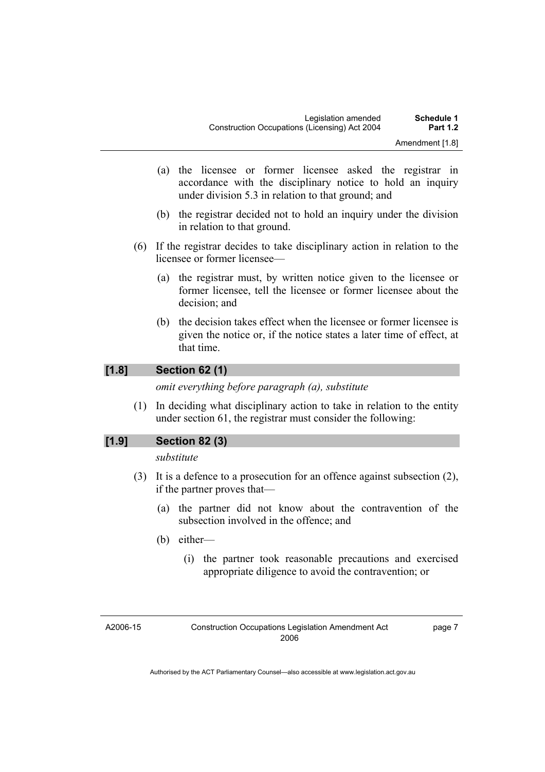- (a) the licensee or former licensee asked the registrar in accordance with the disciplinary notice to hold an inquiry under division 5.3 in relation to that ground; and
- (b) the registrar decided not to hold an inquiry under the division in relation to that ground.
- (6) If the registrar decides to take disciplinary action in relation to the licensee or former licensee—
	- (a) the registrar must, by written notice given to the licensee or former licensee, tell the licensee or former licensee about the decision; and
	- (b) the decision takes effect when the licensee or former licensee is given the notice or, if the notice states a later time of effect, at that time.

#### **[1.8] Section 62 (1)**

*omit everything before paragraph (a), substitute* 

 (1) In deciding what disciplinary action to take in relation to the entity under section 61, the registrar must consider the following:

#### **[1.9] Section 82 (3)**

#### *substitute*

- (3) It is a defence to a prosecution for an offence against subsection (2), if the partner proves that—
	- (a) the partner did not know about the contravention of the subsection involved in the offence; and
	- (b) either—
		- (i) the partner took reasonable precautions and exercised appropriate diligence to avoid the contravention; or

A2006-15

page 7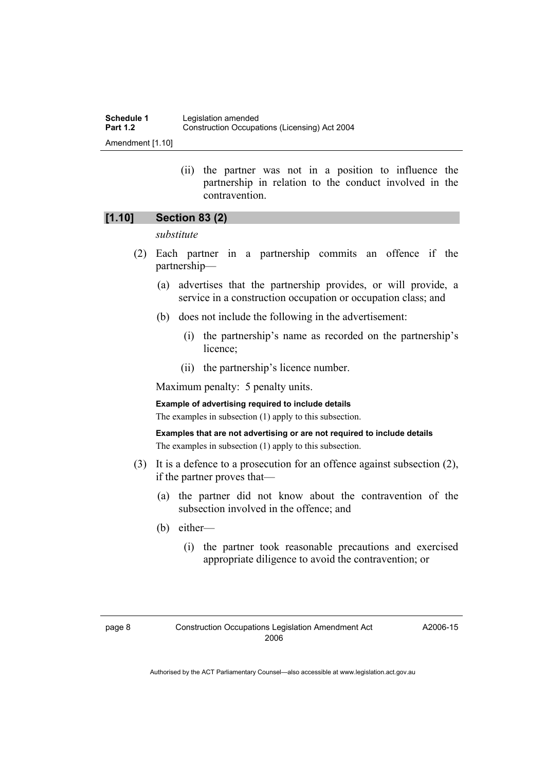| Schedule 1       | Legislation amended                           |
|------------------|-----------------------------------------------|
| <b>Part 1.2</b>  | Construction Occupations (Licensing) Act 2004 |
| Amendment [1.10] |                                               |

 (ii) the partner was not in a position to influence the partnership in relation to the conduct involved in the contravention.

#### **[1.10] Section 83 (2)**

#### *substitute*

- (2) Each partner in a partnership commits an offence if the partnership—
	- (a) advertises that the partnership provides, or will provide, a service in a construction occupation or occupation class; and
	- (b) does not include the following in the advertisement:
		- (i) the partnership's name as recorded on the partnership's licence;
		- (ii) the partnership's licence number.

Maximum penalty: 5 penalty units.

**Example of advertising required to include details** 

The examples in subsection (1) apply to this subsection.

**Examples that are not advertising or are not required to include details**  The examples in subsection (1) apply to this subsection.

- (3) It is a defence to a prosecution for an offence against subsection (2), if the partner proves that—
	- (a) the partner did not know about the contravention of the subsection involved in the offence; and
	- (b) either—
		- (i) the partner took reasonable precautions and exercised appropriate diligence to avoid the contravention; or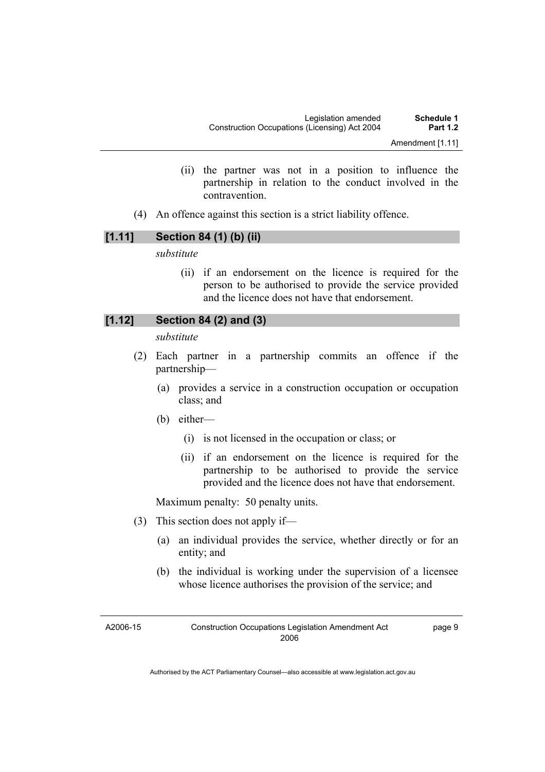- (ii) the partner was not in a position to influence the partnership in relation to the conduct involved in the contravention.
- (4) An offence against this section is a strict liability offence.

#### **[1.11] Section 84 (1) (b) (ii)**

*substitute* 

 (ii) if an endorsement on the licence is required for the person to be authorised to provide the service provided and the licence does not have that endorsement.

#### **[1.12] Section 84 (2) and (3)**

*substitute* 

- (2) Each partner in a partnership commits an offence if the partnership—
	- (a) provides a service in a construction occupation or occupation class; and
	- (b) either—
		- (i) is not licensed in the occupation or class; or
		- (ii) if an endorsement on the licence is required for the partnership to be authorised to provide the service provided and the licence does not have that endorsement.

Maximum penalty: 50 penalty units.

- (3) This section does not apply if—
	- (a) an individual provides the service, whether directly or for an entity; and
	- (b) the individual is working under the supervision of a licensee whose licence authorises the provision of the service; and

A2006-15

page 9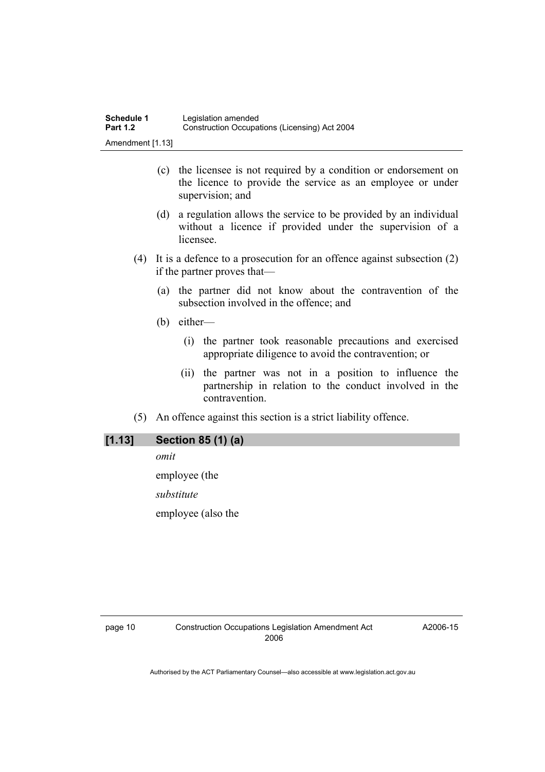- (c) the licensee is not required by a condition or endorsement on the licence to provide the service as an employee or under supervision; and
- (d) a regulation allows the service to be provided by an individual without a licence if provided under the supervision of a licensee.
- (4) It is a defence to a prosecution for an offence against subsection (2) if the partner proves that—
	- (a) the partner did not know about the contravention of the subsection involved in the offence; and
	- (b) either—
		- (i) the partner took reasonable precautions and exercised appropriate diligence to avoid the contravention; or
		- (ii) the partner was not in a position to influence the partnership in relation to the conduct involved in the contravention.
- (5) An offence against this section is a strict liability offence.

#### **[1.13] Section 85 (1) (a)**

*omit* 

employee (the

*substitute* 

employee (also the

A2006-15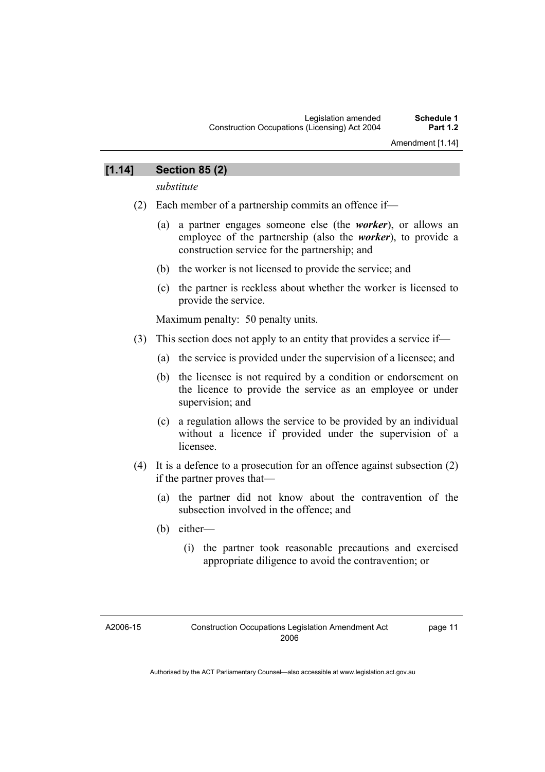#### **[1.14] Section 85 (2)**

*substitute* 

- (2) Each member of a partnership commits an offence if—
	- (a) a partner engages someone else (the *worker*), or allows an employee of the partnership (also the *worker*), to provide a construction service for the partnership; and
	- (b) the worker is not licensed to provide the service; and
	- (c) the partner is reckless about whether the worker is licensed to provide the service.

Maximum penalty: 50 penalty units.

- (3) This section does not apply to an entity that provides a service if—
	- (a) the service is provided under the supervision of a licensee; and
	- (b) the licensee is not required by a condition or endorsement on the licence to provide the service as an employee or under supervision; and
	- (c) a regulation allows the service to be provided by an individual without a licence if provided under the supervision of a licensee.
- (4) It is a defence to a prosecution for an offence against subsection (2) if the partner proves that—
	- (a) the partner did not know about the contravention of the subsection involved in the offence; and
	- (b) either—
		- (i) the partner took reasonable precautions and exercised appropriate diligence to avoid the contravention; or

A2006-15

page 11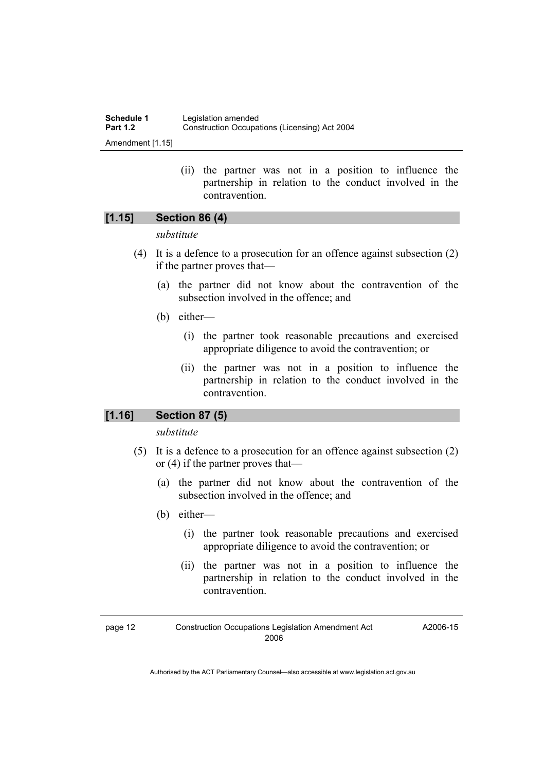| Schedule 1       | Legislation amended                           |
|------------------|-----------------------------------------------|
| <b>Part 1.2</b>  | Construction Occupations (Licensing) Act 2004 |
| Amendment [1.15] |                                               |

 (ii) the partner was not in a position to influence the partnership in relation to the conduct involved in the contravention.

#### **[1.15] Section 86 (4)**

#### *substitute*

- (4) It is a defence to a prosecution for an offence against subsection (2) if the partner proves that—
	- (a) the partner did not know about the contravention of the subsection involved in the offence; and
	- (b) either—
		- (i) the partner took reasonable precautions and exercised appropriate diligence to avoid the contravention; or
		- (ii) the partner was not in a position to influence the partnership in relation to the conduct involved in the contravention.

#### **[1.16] Section 87 (5)**

*substitute* 

- (5) It is a defence to a prosecution for an offence against subsection (2) or (4) if the partner proves that—
	- (a) the partner did not know about the contravention of the subsection involved in the offence; and
	- (b) either—
		- (i) the partner took reasonable precautions and exercised appropriate diligence to avoid the contravention; or
		- (ii) the partner was not in a position to influence the partnership in relation to the conduct involved in the contravention.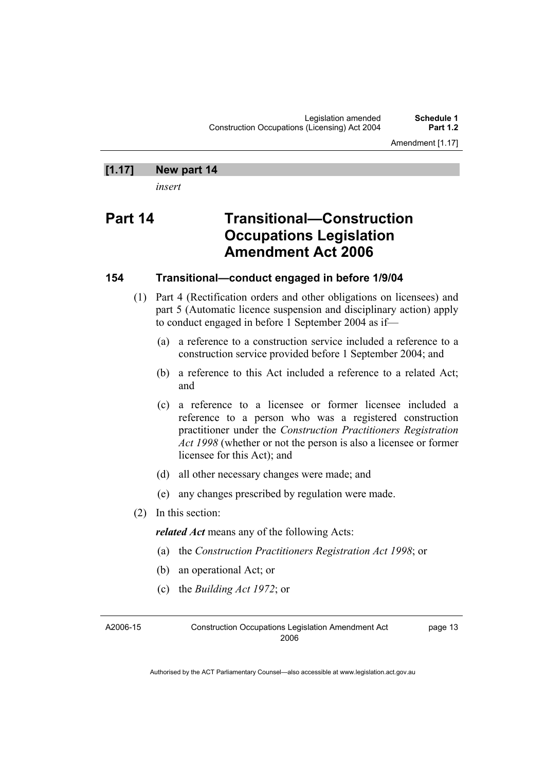Amendment [1.17]

#### **[1.17] New part 14**

*insert* 

### **Part 14 Transitional—Construction Occupations Legislation Amendment Act 2006**

#### **154 Transitional—conduct engaged in before 1/9/04**

- (1) Part 4 (Rectification orders and other obligations on licensees) and part 5 (Automatic licence suspension and disciplinary action) apply to conduct engaged in before 1 September 2004 as if—
	- (a) a reference to a construction service included a reference to a construction service provided before 1 September 2004; and
	- (b) a reference to this Act included a reference to a related Act; and
	- (c) a reference to a licensee or former licensee included a reference to a person who was a registered construction practitioner under the *Construction Practitioners Registration Act 1998* (whether or not the person is also a licensee or former licensee for this Act); and
	- (d) all other necessary changes were made; and
	- (e) any changes prescribed by regulation were made.
- (2) In this section:

*related Act* means any of the following Acts:

- (a) the *Construction Practitioners Registration Act 1998*; or
- (b) an operational Act; or
- (c) the *Building Act 1972*; or

A2006-15 Construction Occupations Legislation Amendment Act 2006

page 13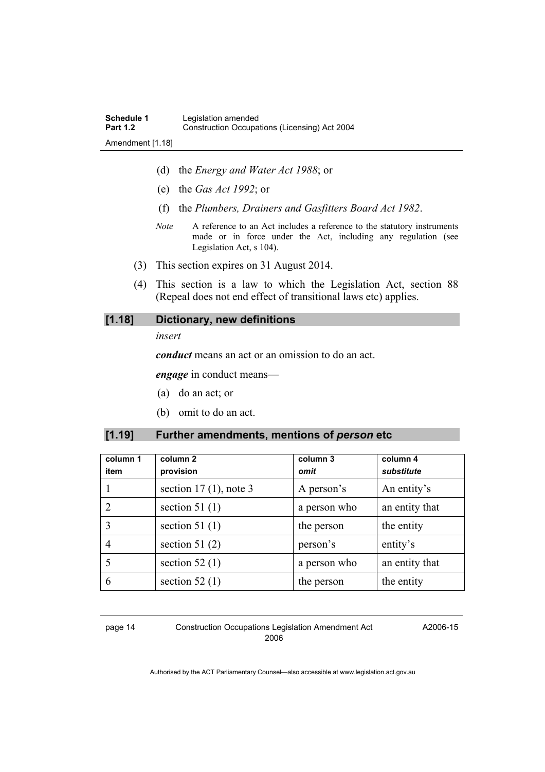- (d) the *Energy and Water Act 1988*; or
- (e) the *Gas Act 1992*; or
- (f) the *Plumbers, Drainers and Gasfitters Board Act 1982*.
- *Note* A reference to an Act includes a reference to the statutory instruments made or in force under the Act, including any regulation (see Legislation Act, s 104).
- (3) This section expires on 31 August 2014.
- (4) This section is a law to which the Legislation Act, section 88 (Repeal does not end effect of transitional laws etc) applies.

#### **[1.18] Dictionary, new definitions**

#### *insert*

*conduct* means an act or an omission to do an act.

*engage* in conduct means—

- (a) do an act; or
- (b) omit to do an act.

#### **[1.19] Further amendments, mentions of** *person* **etc**

| column 1<br>item | column <sub>2</sub><br>provision | column 3<br>omit | column 4<br>substitute |
|------------------|----------------------------------|------------------|------------------------|
|                  | section $17(1)$ , note 3         | A person's       | An entity's            |
|                  | section 51 $(1)$                 | a person who     | an entity that         |
| 3                | section 51 $(1)$                 | the person       | the entity             |
| 4                | section 51 $(2)$                 | person's         | entity's               |
|                  | section 52 $(1)$                 | a person who     | an entity that         |
| 6                | section 52 $(1)$                 | the person       | the entity             |

page 14 Construction Occupations Legislation Amendment Act 2006

A2006-15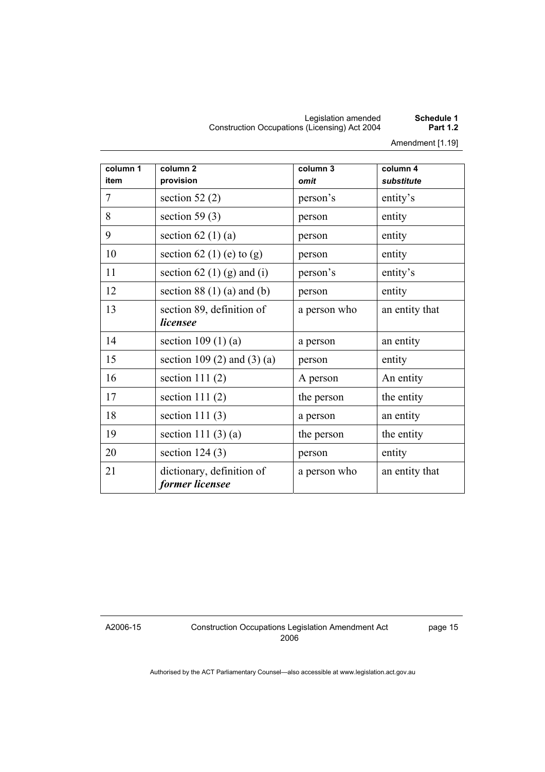#### Legislation amended **Schedule 1**  Construction Occupations (Licensing) Act 2004 **Part 1.2**

Amendment [1.19]

| column 1 | column <sub>2</sub>                          | column 3     | column 4       |
|----------|----------------------------------------------|--------------|----------------|
| item     | provision                                    | omit         | substitute     |
| 7        | section 52 $(2)$                             | person's     | entity's       |
| 8        | section 59 $(3)$                             | person       | entity         |
| 9        | section 62 $(1)(a)$                          | person       | entity         |
| 10       | section 62 (1) (e) to (g)                    | person       | entity         |
| 11       | section 62 (1) (g) and (i)                   | person's     | entity's       |
| 12       | section $88(1)(a)$ and $(b)$                 | person       | entity         |
| 13       | section 89, definition of<br>licensee        | a person who | an entity that |
| 14       | section $109(1)(a)$                          | a person     | an entity      |
| 15       | section 109 (2) and (3) (a)                  | person       | entity         |
| 16       | section 111 $(2)$                            | A person     | An entity      |
| 17       | section $111(2)$                             | the person   | the entity     |
| 18       | section 111 $(3)$                            | a person     | an entity      |
| 19       | section 111 $(3)(a)$                         | the person   | the entity     |
| 20       | section $124(3)$                             | person       | entity         |
| 21       | dictionary, definition of<br>former licensee | a person who | an entity that |

A2006-15

Construction Occupations Legislation Amendment Act 2006

page 15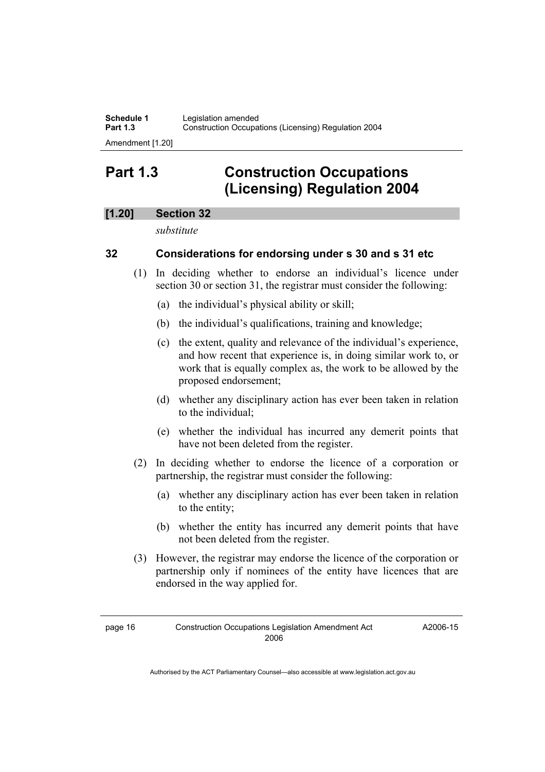**Schedule 1 Legislation amended**<br>**Part 1.3 Construction Occupa Part 1.3** Construction Occupations (Licensing) Regulation 2004

#### Amendment [1.20]

### **Part 1.3 Construction Occupations (Licensing) Regulation 2004**

#### **[1.20] Section 32**

*substitute* 

#### **32 Considerations for endorsing under s 30 and s 31 etc**

- (1) In deciding whether to endorse an individual's licence under section 30 or section 31, the registrar must consider the following:
	- (a) the individual's physical ability or skill;
	- (b) the individual's qualifications, training and knowledge;
	- (c) the extent, quality and relevance of the individual's experience, and how recent that experience is, in doing similar work to, or work that is equally complex as, the work to be allowed by the proposed endorsement;
	- (d) whether any disciplinary action has ever been taken in relation to the individual;
	- (e) whether the individual has incurred any demerit points that have not been deleted from the register.
- (2) In deciding whether to endorse the licence of a corporation or partnership, the registrar must consider the following:
	- (a) whether any disciplinary action has ever been taken in relation to the entity;
	- (b) whether the entity has incurred any demerit points that have not been deleted from the register.
- (3) However, the registrar may endorse the licence of the corporation or partnership only if nominees of the entity have licences that are endorsed in the way applied for.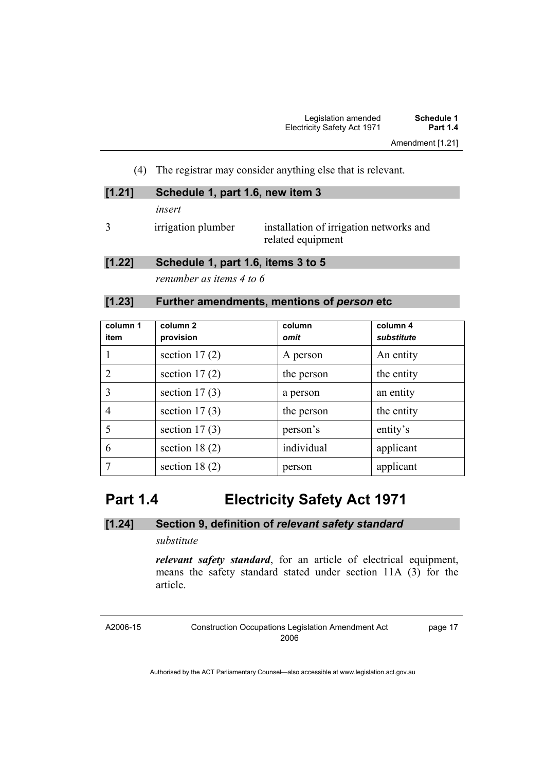(4) The registrar may consider anything else that is relevant.

| [1.21] | Schedule 1, part 1.6, new item 3 |                                                              |  |
|--------|----------------------------------|--------------------------------------------------------------|--|
|        | insert                           |                                                              |  |
|        | irrigation plumber               | installation of irrigation networks and<br>related equipment |  |

#### **[1.22] Schedule 1, part 1.6, items 3 to 5**

*renumber as items 4 to 6* 

#### **[1.23] Further amendments, mentions of** *person* **etc**

| column 1<br>item | column 2<br>provision | column<br>omit | column 4<br>substitute |
|------------------|-----------------------|----------------|------------------------|
|                  | section $17(2)$       | A person       | An entity              |
| $\overline{2}$   | section $17(2)$       | the person     | the entity             |
| 3                | section $17(3)$       | a person       | an entity              |
| 4                | section $17(3)$       | the person     | the entity             |
| 5                | section $17(3)$       | person's       | entity's               |
| 6                | section 18 $(2)$      | individual     | applicant              |
|                  | section 18 $(2)$      | person         | applicant              |

### **Part 1.4 Electricity Safety Act 1971**

#### **[1.24] Section 9, definition of** *relevant safety standard*

#### *substitute*

*relevant safety standard*, for an article of electrical equipment, means the safety standard stated under section 11A (3) for the article.

A2006-15

Construction Occupations Legislation Amendment Act 2006

page 17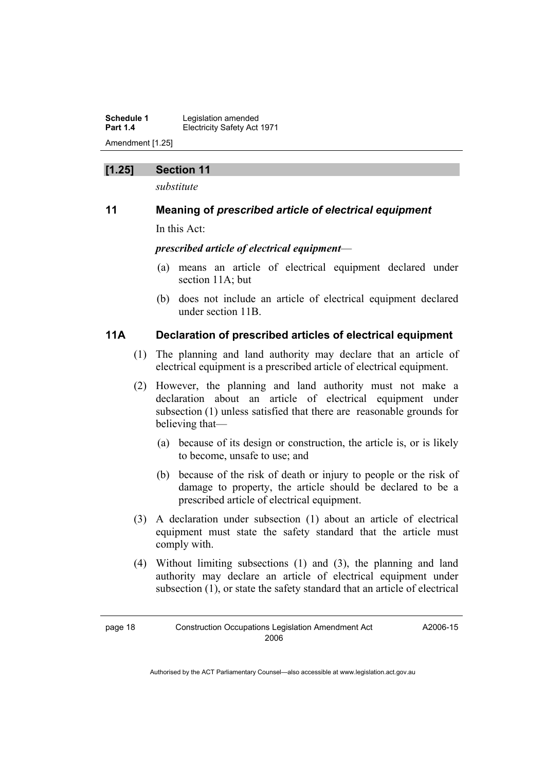**Schedule 1 Legislation amended**<br>**Part 1.4 Electricity Safety Act Electricity Safety Act 1971** Amendment [1.25]

#### **[1.25] Section 11**

*substitute* 

#### **11 Meaning of** *prescribed article of electrical equipment*

In this Act:

*prescribed article of electrical equipment*—

- (a) means an article of electrical equipment declared under section 11A; but
- (b) does not include an article of electrical equipment declared under section 11B.

#### **11A Declaration of prescribed articles of electrical equipment**

- (1) The planning and land authority may declare that an article of electrical equipment is a prescribed article of electrical equipment.
- (2) However, the planning and land authority must not make a declaration about an article of electrical equipment under subsection (1) unless satisfied that there are reasonable grounds for believing that—
	- (a) because of its design or construction, the article is, or is likely to become, unsafe to use; and
	- (b) because of the risk of death or injury to people or the risk of damage to property, the article should be declared to be a prescribed article of electrical equipment.
- (3) A declaration under subsection (1) about an article of electrical equipment must state the safety standard that the article must comply with.
- (4) Without limiting subsections (1) and (3), the planning and land authority may declare an article of electrical equipment under subsection (1), or state the safety standard that an article of electrical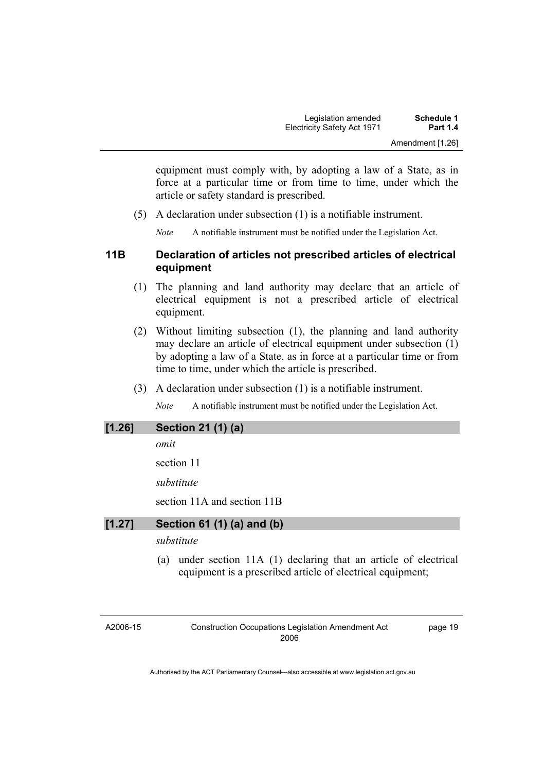equipment must comply with, by adopting a law of a State, as in force at a particular time or from time to time, under which the article or safety standard is prescribed.

(5) A declaration under subsection (1) is a notifiable instrument.

*Note* A notifiable instrument must be notified under the Legislation Act.

#### **11B Declaration of articles not prescribed articles of electrical equipment**

- (1) The planning and land authority may declare that an article of electrical equipment is not a prescribed article of electrical equipment.
- (2) Without limiting subsection (1), the planning and land authority may declare an article of electrical equipment under subsection (1) by adopting a law of a State, as in force at a particular time or from time to time, under which the article is prescribed.
- (3) A declaration under subsection (1) is a notifiable instrument.

*Note* A notifiable instrument must be notified under the Legislation Act.

#### **[1.26] Section 21 (1) (a)**

*omit* 

section 11

*substitute* 

section 11A and section 11B

#### **[1.27] Section 61 (1) (a) and (b)**

*substitute* 

 (a) under section 11A (1) declaring that an article of electrical equipment is a prescribed article of electrical equipment;

A2006-15

page 19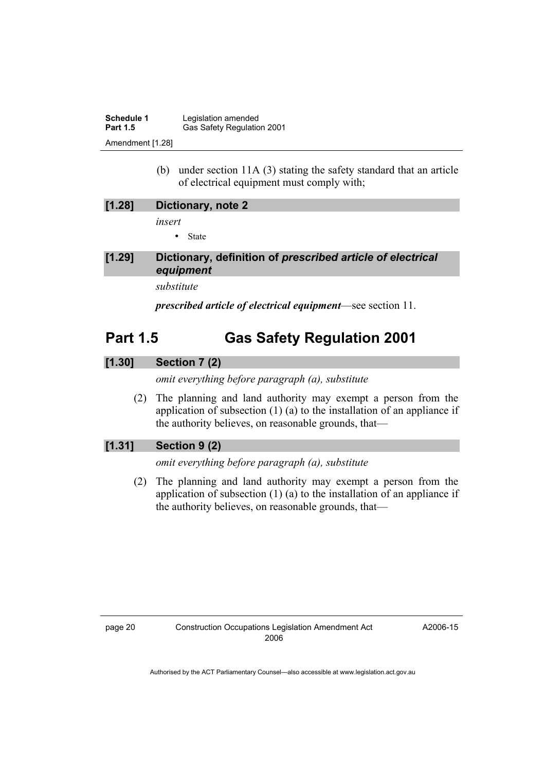| <b>Schedule 1</b> | Legislation amended        |
|-------------------|----------------------------|
| <b>Part 1.5</b>   | Gas Safety Regulation 2001 |
| Amendment [1.28]  |                            |

 (b) under section 11A (3) stating the safety standard that an article of electrical equipment must comply with;

| [1.28]   | Dictionary, note 2                                                      |
|----------|-------------------------------------------------------------------------|
|          | insert                                                                  |
|          | $\bullet$ State                                                         |
| $[1.29]$ | Dictionary, definition of prescribed article of electrical<br>equipment |

*substitute* 

*prescribed article of electrical equipment*—see section 11.

### **Part 1.5 Gas Safety Regulation 2001**

#### **[1.30] Section 7 (2)**

*omit everything before paragraph (a), substitute* 

 (2) The planning and land authority may exempt a person from the application of subsection (1) (a) to the installation of an appliance if the authority believes, on reasonable grounds, that—

#### **[1.31] Section 9 (2)**

*omit everything before paragraph (a), substitute* 

 (2) The planning and land authority may exempt a person from the application of subsection (1) (a) to the installation of an appliance if the authority believes, on reasonable grounds, that—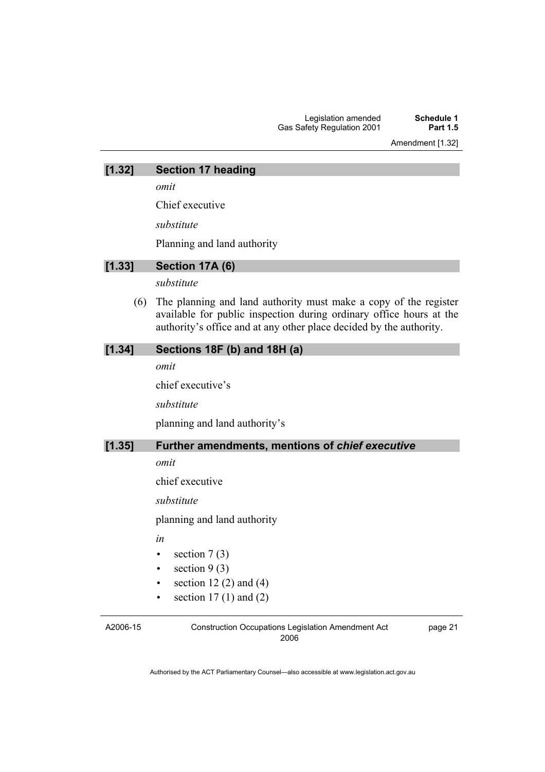Amendment [1.32]

#### **[1.32] Section 17 heading**

*omit* 

Chief executive

*substitute* 

Planning and land authority

#### **[1.33] Section 17A (6)**

*substitute* 

 (6) The planning and land authority must make a copy of the register available for public inspection during ordinary office hours at the authority's office and at any other place decided by the authority.

#### **[1.34] Sections 18F (b) and 18H (a)**

*omit* 

chief executive's

*substitute* 

planning and land authority's

#### **[1.35] Further amendments, mentions of** *chief executive*

*omit* 

chief executive

*substitute* 

planning and land authority

- *in*
- section  $7(3)$
- section  $9(3)$
- section  $12(2)$  and  $(4)$
- section  $17(1)$  and  $(2)$

A2006-15

Construction Occupations Legislation Amendment Act 2006

page 21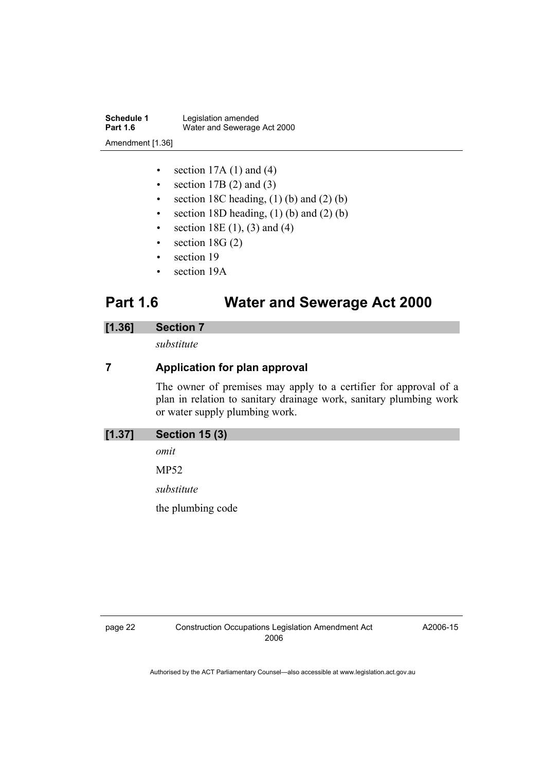**Schedule 1** Legislation amended<br> **Part 1.6** Water and Sewerage Water and Sewerage Act 2000 Amendment [1.36]

- section  $17A(1)$  and  $(4)$
- section  $17B(2)$  and  $(3)$
- section 18C heading,  $(1)$  (b) and  $(2)$  (b)
- section 18D heading,  $(1)$  (b) and  $(2)$  (b)
- section  $18E(1)$ , (3) and (4)
- section  $18G(2)$
- section 19
- section 19A

### **Part 1.6 Water and Sewerage Act 2000**

#### **[1.36] Section 7**

*substitute* 

#### **7 Application for plan approval**

The owner of premises may apply to a certifier for approval of a plan in relation to sanitary drainage work, sanitary plumbing work or water supply plumbing work.

| $[1.37]$<br><b>Section 15 (3)</b> |
|-----------------------------------|
|-----------------------------------|

*omit* 

MP52

*substitute* 

the plumbing code

A2006-15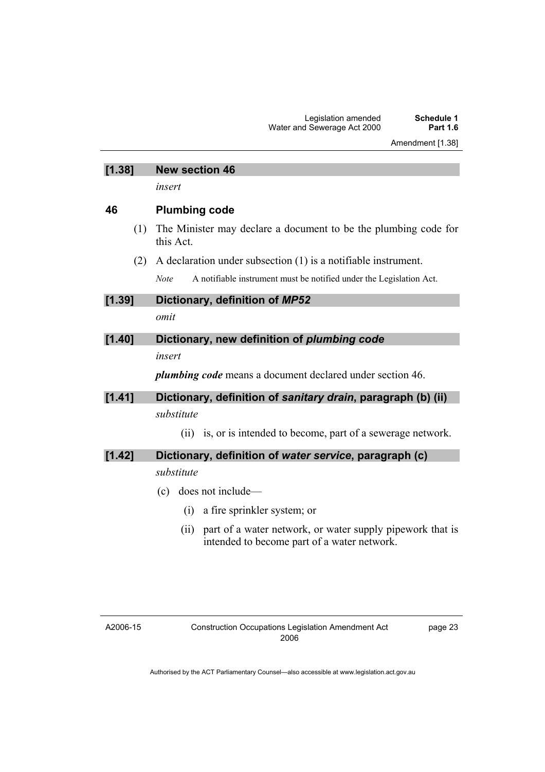| [1.38] | <b>New section 46</b>                                                              |
|--------|------------------------------------------------------------------------------------|
|        | insert                                                                             |
| 46     | <b>Plumbing code</b>                                                               |
| (1)    | The Minister may declare a document to be the plumbing code for<br>this Act.       |
| (2)    | A declaration under subsection $(1)$ is a notifiable instrument.                   |
|        | A notifiable instrument must be notified under the Legislation Act.<br><b>Note</b> |
| [1.39] | Dictionary, definition of MP52                                                     |
|        | omit                                                                               |
| [1.40] | Dictionary, new definition of plumbing code                                        |
|        | insert                                                                             |
|        | <i>plumbing code</i> means a document declared under section 46.                   |
| [1.41] | Dictionary, definition of sanitary drain, paragraph (b) (ii)                       |
|        | substitute                                                                         |
|        | is, or is intended to become, part of a sewerage network.<br>(11)                  |
| [1.42] | Dictionary, definition of water service, paragraph (c)<br>substitute               |

- (c) does not include—
	- (i) a fire sprinkler system; or
	- (ii) part of a water network, or water supply pipework that is intended to become part of a water network.

A2006-15

page 23